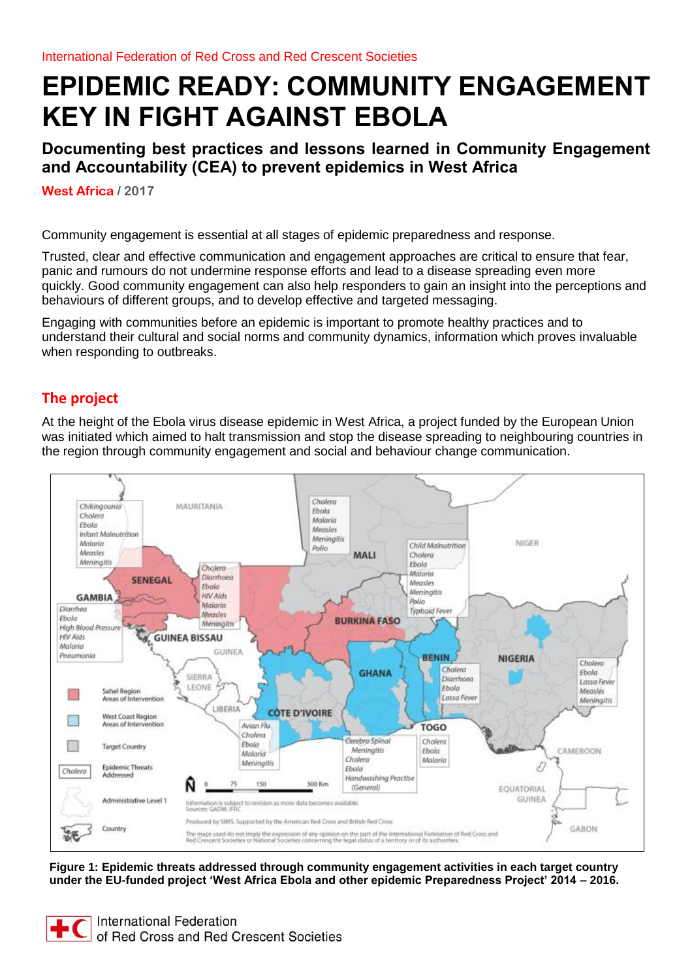# **EPIDEMIC READY: COMMUNITY ENGAGEMENT KEY IN FIGHT AGAINST EBOLA**

**Documenting best practices and lessons learned in Community Engagement and Accountability (CEA) to prevent epidemics in West Africa** 

**West Africa / 2017** 

Community engagement is essential at all stages of epidemic preparedness and response.

Trusted, clear and effective communication and engagement approaches are critical to ensure that fear, panic and rumours do not undermine response efforts and lead to a disease spreading even more quickly. Good community engagement can also help responders to gain an insight into the perceptions and behaviours of different groups, and to develop effective and targeted messaging.

Engaging with communities before an epidemic is important to promote healthy practices and to understand their cultural and social norms and community dynamics, information which proves invaluable when responding to outbreaks.

# **The project**

At the height of the Ebola virus disease epidemic in West Africa, a project funded by the European Union was initiated which aimed to halt transmission and stop the disease spreading to neighbouring countries in the region through community engagement and social and behaviour change communication.

<span id="page-0-0"></span>

**Figure 1: Epidemic threats addressed through community engagement activities in each target country under the EU-funded project 'West Africa Ebola and other epidemic Preparedness Project' 2014 – 2016.**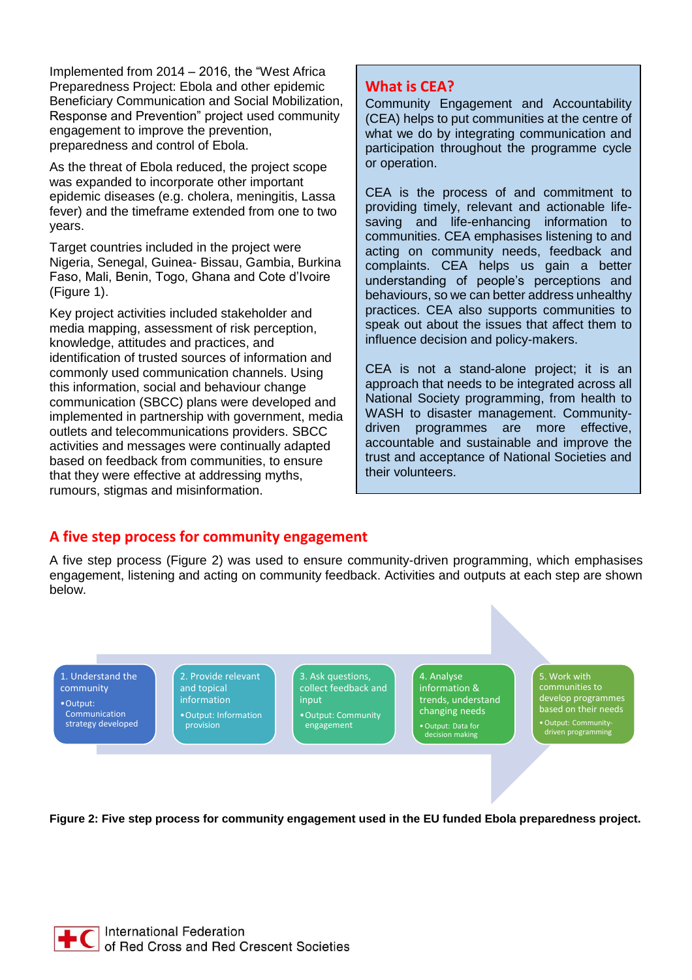Implemented from 2014 – 2016, the "West Africa Preparedness Project: Ebola and other epidemic Beneficiary Communication and Social Mobilization, Response and Prevention" project used community engagement to improve the prevention, preparedness and control of Ebola.

As the threat of Ebola reduced, the project scope was expanded to incorporate other important epidemic diseases (e.g. cholera, meningitis, Lassa fever) and the timeframe extended from one to two years.

Target countries included in the project were Nigeria, Senegal, Guinea- Bissau, Gambia, Burkina Faso, Mali, Benin, Togo, Ghana and Cote d'Ivoire [\(Figure 1\)](#page-0-0).

Key project activities included stakeholder and media mapping, assessment of risk perception, knowledge, attitudes and practices, and identification of trusted sources of information and commonly used communication channels. Using this information, social and behaviour change communication (SBCC) plans were developed and implemented in partnership with government, media outlets and telecommunications providers. SBCC activities and messages were continually adapted based on feedback from communities, to ensure that they were effective at addressing myths, rumours, stigmas and misinformation.

# **What is CEA?**

Community Engagement and Accountability (CEA) helps to put communities at the centre of what we do by integrating communication and participation throughout the programme cycle or operation.

CEA is the process of and commitment to providing timely, relevant and actionable lifesaving and life-enhancing information to communities. CEA emphasises listening to and acting on community needs, feedback and complaints. CEA helps us gain a better understanding of people's perceptions and behaviours, so we can better address unhealthy practices. CEA also supports communities to speak out about the issues that affect them to influence decision and policy-makers.

CEA is not a stand-alone project; it is an approach that needs to be integrated across all National Society programming, from health to WASH to disaster management. Communitydriven programmes are more effective, accountable and sustainable and improve the trust and acceptance of National Societies and their volunteers.

# **A five step process for community engagement**

A five step process [\(Figure 2\)](#page-1-0) was used to ensure community-driven programming, which emphasises engagement, listening and acting on community feedback. Activities and outputs at each step are shown below.

1. Understand the community •Output: Communication strategy developed 2. Provide relevant and topical information •Output: Information provision

3. Ask questions, collect feedback and input •Output: Community engagement

4. Analyse information & trends, understand changing needs •Output: Data for decision making

5. Work with communities to develop programmes based on their needs •Output: Community-driven programming

<span id="page-1-0"></span>**Figure 2: Five step process for community engagement used in the EU funded Ebola preparedness project.**

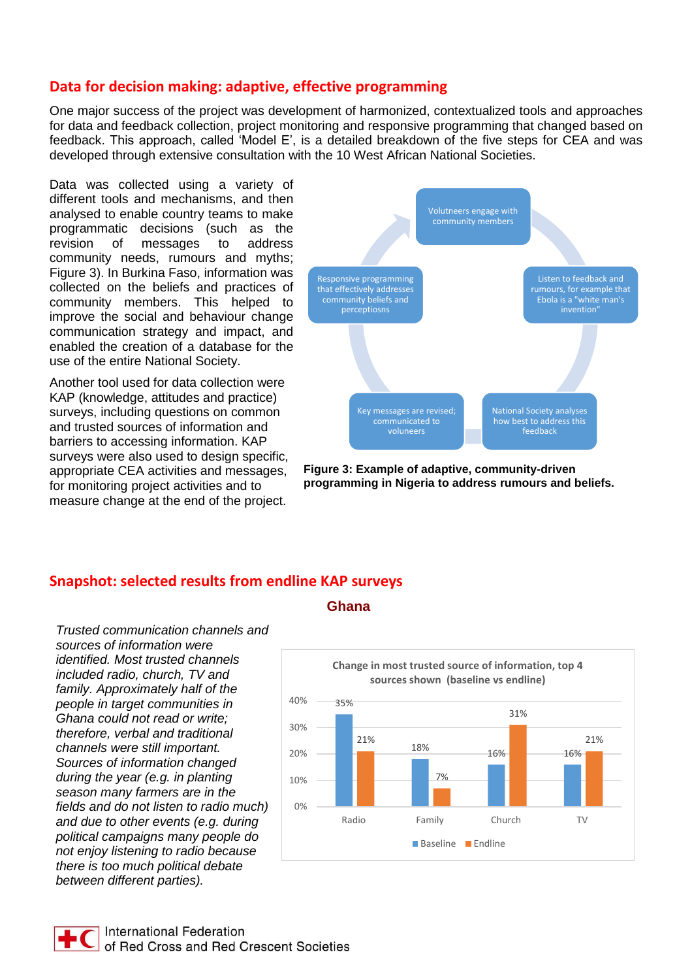## **Data for decision making: adaptive, effective programming**

One major success of the project was development of harmonized, contextualized tools and approaches for data and feedback collection, project monitoring and responsive programming that changed based on feedback. This approach, called 'Model E', is a detailed breakdown of the five steps for CEA and was developed through extensive consultation with the 10 West African National Societies.

Data was collected using a variety of different tools and mechanisms, and then analysed to enable country teams to make programmatic decisions (such as the revision of messages to address community needs, rumours and myths; [Figure 3\)](#page-2-0). In Burkina Faso, information was collected on the beliefs and practices of community members. This helped to improve the social and behaviour change communication strategy and impact, and enabled the creation of a database for the use of the entire National Society.

Another tool used for data collection were KAP (knowledge, attitudes and practice) surveys, including questions on common and trusted sources of information and barriers to accessing information. KAP surveys were also used to design specific, appropriate CEA activities and messages, for monitoring project activities and to measure change at the end of the project.



<span id="page-2-0"></span>**Figure 3: Example of adaptive, community-driven programming in Nigeria to address rumours and beliefs.**

# **Snapshot: selected results from endline KAP surveys**

*Trusted communication channels and sources of information were identified. Most trusted channels included radio, church, TV and family. Approximately half of the people in target communities in Ghana could not read or write; therefore, verbal and traditional channels were still important. Sources of information changed during the year (e.g. in planting season many farmers are in the fields and do not listen to radio much) and due to other events (e.g. during political campaigns many people do not enjoy listening to radio because there is too much political debate between different parties).* 

#### **Ghana**

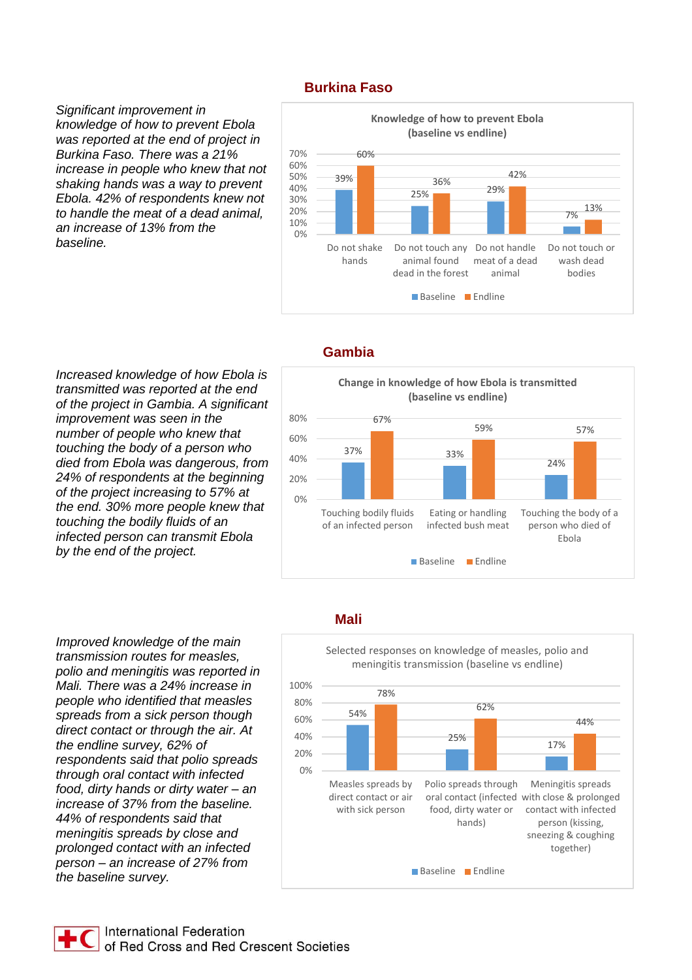#### **Burkina Faso**

*Significant improvement in knowledge of how to prevent Ebola was reported at the end of project in Burkina Faso. There was a 21% increase in people who knew that not shaking hands was a way to prevent Ebola. 42% of respondents knew not to handle the meat of a dead animal, an increase of 13% from the baseline.* 



#### *Increased knowledge of how Ebola is transmitted was reported at the end of the project in Gambia. A significant improvement was seen in the number of people who knew that touching the body of a person who died from Ebola was dangerous, from 24% of respondents at the beginning of the project increasing to 57% at the end. 30% more people knew that touching the bodily fluids of an infected person can transmit Ebola by the end of the project.*

*Improved knowledge of the main transmission routes for measles, polio and meningitis was reported in Mali. There was a 24% increase in people who identified that measles spreads from a sick person though direct contact or through the air. At the endline survey, 62% of respondents said that polio spreads through oral contact with infected food, dirty hands or dirty water – an increase of 37% from the baseline. 44% of respondents said that meningitis spreads by close and prolonged contact with an infected person – an increase of 27% from the baseline survey.* 

#### **Gambia**



#### **Mali**

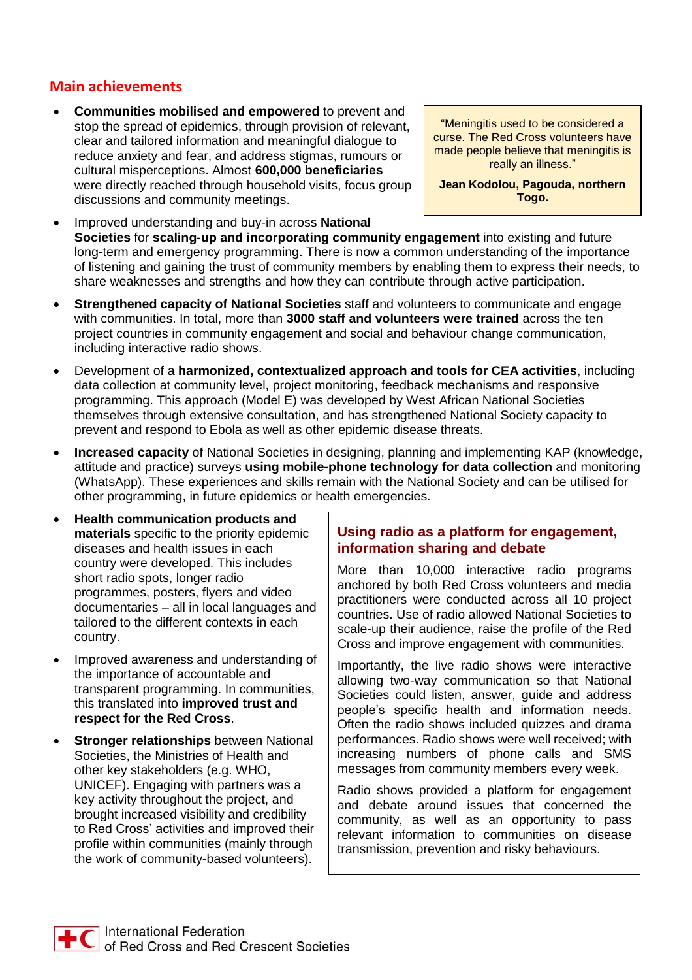## **Main achievements**

• **Communities mobilised and empowered** to prevent and stop the spread of epidemics, through provision of relevant, clear and tailored information and meaningful dialogue to reduce anxiety and fear, and address stigmas, rumours or cultural misperceptions. Almost **600,000 beneficiaries** were directly reached through household visits, focus group discussions and community meetings.

"Meningitis used to be considered a curse. The Red Cross volunteers have made people believe that meningitis is really an illness."

**Jean Kodolou, Pagouda, northern Togo.**

- Improved understanding and buy-in across **National Societies** for **scaling-up and incorporating community engagement** into existing and future long-term and emergency programming. There is now a common understanding of the importance of listening and gaining the trust of community members by enabling them to express their needs, to share weaknesses and strengths and how they can contribute through active participation.
- **Strengthened capacity of National Societies** staff and volunteers to communicate and engage with communities. In total, more than **3000 staff and volunteers were trained** across the ten project countries in community engagement and social and behaviour change communication, including interactive radio shows.
- Development of a **harmonized, contextualized approach and tools for CEA activities**, including data collection at community level, project monitoring, feedback mechanisms and responsive programming. This approach (Model E) was developed by West African National Societies themselves through extensive consultation, and has strengthened National Society capacity to prevent and respond to Ebola as well as other epidemic disease threats.
- **Increased capacity** of National Societies in designing, planning and implementing KAP (knowledge, attitude and practice) surveys **using mobile-phone technology for data collection** and monitoring (WhatsApp). These experiences and skills remain with the National Society and can be utilised for other programming, in future epidemics or health emergencies.
- **Health communication products and materials** specific to the priority epidemic diseases and health issues in each country were developed. This includes short radio spots, longer radio programmes, posters, flyers and video documentaries – all in local languages and tailored to the different contexts in each country.
- Improved awareness and understanding of the importance of accountable and transparent programming. In communities, this translated into **improved trust and respect for the Red Cross**.
- **Stronger relationships** between National Societies, the Ministries of Health and other key stakeholders (e.g. WHO, UNICEF). Engaging with partners was a key activity throughout the project, and brought increased visibility and credibility to Red Cross' activities and improved their profile within communities (mainly through the work of community-based volunteers).

## **Using radio as a platform for engagement, information sharing and debate**

More than 10,000 interactive radio programs anchored by both Red Cross volunteers and media practitioners were conducted across all 10 project countries. Use of radio allowed National Societies to scale-up their audience, raise the profile of the Red Cross and improve engagement with communities.

Importantly, the live radio shows were interactive allowing two-way communication so that National Societies could listen, answer, guide and address people's specific health and information needs. Often the radio shows included quizzes and drama performances. Radio shows were well received; with increasing numbers of phone calls and SMS messages from community members every week.

Radio shows provided a platform for engagement and debate around issues that concerned the community, as well as an opportunity to pass relevant information to communities on disease transmission, prevention and risky behaviours.

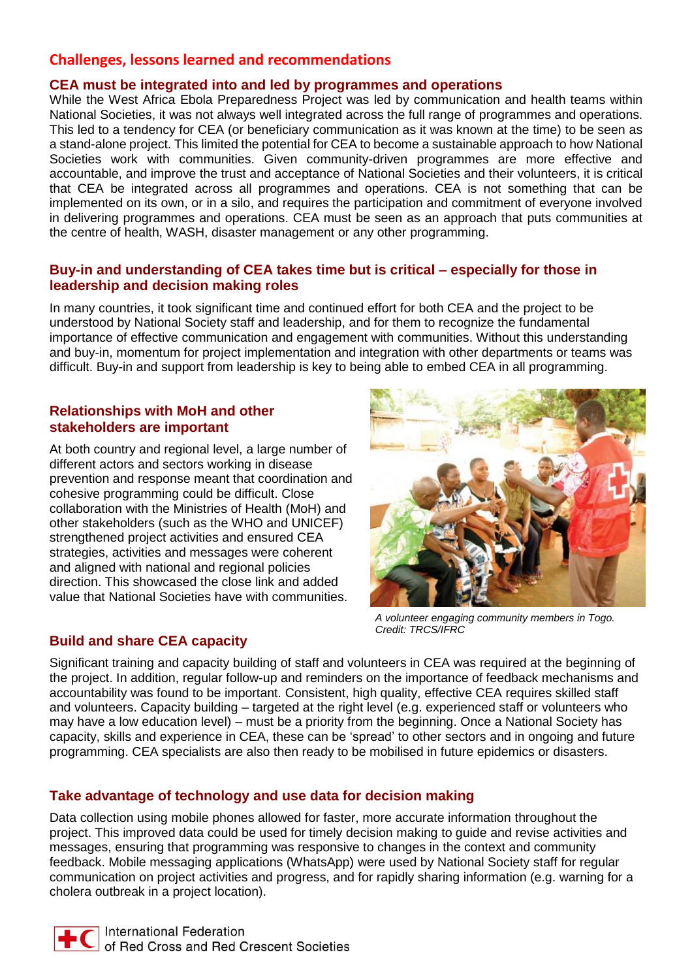# **Challenges, lessons learned and recommendations**

#### **CEA must be integrated into and led by programmes and operations**

While the West Africa Ebola Preparedness Project was led by communication and health teams within National Societies, it was not always well integrated across the full range of programmes and operations. This led to a tendency for CEA (or beneficiary communication as it was known at the time) to be seen as a stand-alone project. This limited the potential for CEA to become a sustainable approach to how National Societies work with communities. Given community-driven programmes are more effective and accountable, and improve the trust and acceptance of National Societies and their volunteers, it is critical that CEA be integrated across all programmes and operations. CEA is not something that can be implemented on its own, or in a silo, and requires the participation and commitment of everyone involved in delivering programmes and operations. CEA must be seen as an approach that puts communities at the centre of health, WASH, disaster management or any other programming.

#### **Buy-in and understanding of CEA takes time but is critical – especially for those in leadership and decision making roles**

In many countries, it took significant time and continued effort for both CEA and the project to be understood by National Society staff and leadership, and for them to recognize the fundamental importance of effective communication and engagement with communities. Without this understanding and buy-in, momentum for project implementation and integration with other departments or teams was difficult. Buy-in and support from leadership is key to being able to embed CEA in all programming.

#### **Relationships with MoH and other stakeholders are important**

At both country and regional level, a large number of different actors and sectors working in disease prevention and response meant that coordination and cohesive programming could be difficult. Close collaboration with the Ministries of Health (MoH) and other stakeholders (such as the WHO and UNICEF) strengthened project activities and ensured CEA strategies, activities and messages were coherent and aligned with national and regional policies direction. This showcased the close link and added value that National Societies have with communities.

#### **Build and share CEA capacity**



*A volunteer engaging community members in Togo. Credit: TRCS/IFRC*

Significant training and capacity building of staff and volunteers in CEA was required at the beginning of the project. In addition, regular follow-up and reminders on the importance of feedback mechanisms and accountability was found to be important. Consistent, high quality, effective CEA requires skilled staff and volunteers. Capacity building – targeted at the right level (e.g. experienced staff or volunteers who may have a low education level) – must be a priority from the beginning. Once a National Society has capacity, skills and experience in CEA, these can be 'spread' to other sectors and in ongoing and future programming. CEA specialists are also then ready to be mobilised in future epidemics or disasters.

## **Take advantage of technology and use data for decision making**

Data collection using mobile phones allowed for faster, more accurate information throughout the project. This improved data could be used for timely decision making to guide and revise activities and messages, ensuring that programming was responsive to changes in the context and community feedback. Mobile messaging applications (WhatsApp) were used by National Society staff for regular communication on project activities and progress, and for rapidly sharing information (e.g. warning for a cholera outbreak in a project location).

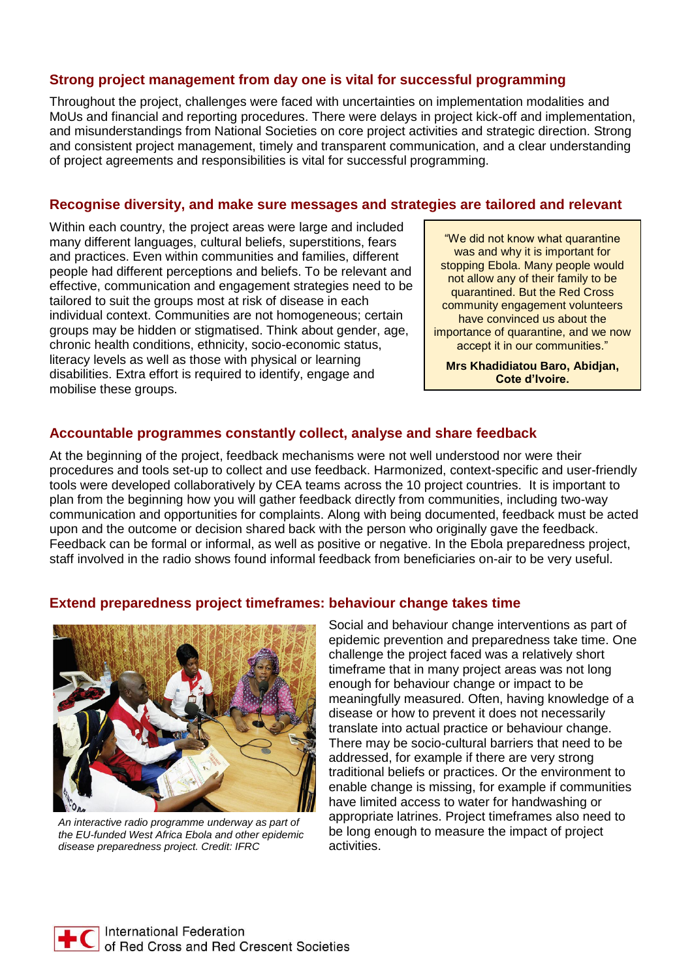#### **Strong project management from day one is vital for successful programming**

Throughout the project, challenges were faced with uncertainties on implementation modalities and MoUs and financial and reporting procedures. There were delays in project kick-off and implementation, and misunderstandings from National Societies on core project activities and strategic direction. Strong and consistent project management, timely and transparent communication, and a clear understanding of project agreements and responsibilities is vital for successful programming.

#### **Recognise diversity, and make sure messages and strategies are tailored and relevant**

Within each country, the project areas were large and included many different languages, cultural beliefs, superstitions, fears and practices. Even within communities and families, different people had different perceptions and beliefs. To be relevant and effective, communication and engagement strategies need to be tailored to suit the groups most at risk of disease in each individual context. Communities are not homogeneous; certain groups may be hidden or stigmatised. Think about gender, age, chronic health conditions, ethnicity, socio-economic status, literacy levels as well as those with physical or learning disabilities. Extra effort is required to identify, engage and mobilise these groups.

"We did not know what quarantine was and why it is important for stopping Ebola. Many people would not allow any of their family to be quarantined. But the Red Cross community engagement volunteers have convinced us about the importance of quarantine, and we now accept it in our communities."

**Mrs Khadidiatou Baro, Abidjan, Cote d'Ivoire.**

#### **Accountable programmes constantly collect, analyse and share feedback**

**Extend preparedness project timeframes: behaviour change takes time** 

At the beginning of the project, feedback mechanisms were not well understood nor were their procedures and tools set-up to collect and use feedback. Harmonized, context-specific and user-friendly tools were developed collaboratively by CEA teams across the 10 project countries. It is important to plan from the beginning how you will gather feedback directly from communities, including two-way communication and opportunities for complaints. Along with being documented, feedback must be acted upon and the outcome or decision shared back with the person who originally gave the feedback. Feedback can be formal or informal, as well as positive or negative. In the Ebola preparedness project, staff involved in the radio shows found informal feedback from beneficiaries on-air to be very useful.



*An interactive radio programme underway as part of the EU-funded West Africa Ebola and other epidemic disease preparedness project. Credit: IFRC*

Social and behaviour change interventions as part of epidemic prevention and preparedness take time. One challenge the project faced was a relatively short timeframe that in many project areas was not long enough for behaviour change or impact to be meaningfully measured. Often, having knowledge of a disease or how to prevent it does not necessarily translate into actual practice or behaviour change. There may be socio-cultural barriers that need to be addressed, for example if there are very strong traditional beliefs or practices. Or the environment to enable change is missing, for example if communities have limited access to water for handwashing or appropriate latrines. Project timeframes also need to be long enough to measure the impact of project activities.